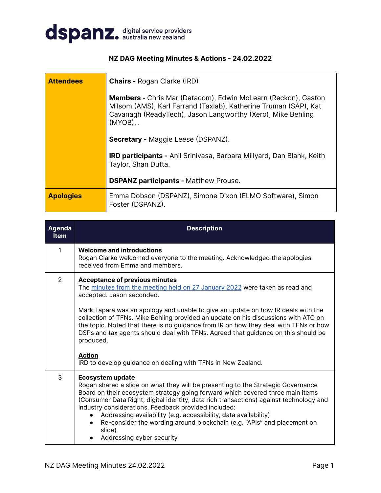

## **NZ DAG Meeting Minutes & Actions - 24.02.2022**

| <b>Attendees</b> | <b>Chairs - Rogan Clarke (IRD)</b>                                                                                                                                                                                    |  |  |
|------------------|-----------------------------------------------------------------------------------------------------------------------------------------------------------------------------------------------------------------------|--|--|
|                  | <b>Members -</b> Chris Mar (Datacom), Edwin McLearn (Reckon), Gaston<br>Milsom (AMS), Karl Farrand (Taxlab), Katherine Truman (SAP), Kat<br>Cavanagh (ReadyTech), Jason Langworthy (Xero), Mike Behling<br>$(MYOB)$ . |  |  |
|                  | <b>Secretary - Maggie Leese (DSPANZ).</b>                                                                                                                                                                             |  |  |
|                  | <b>IRD participants -</b> Anil Srinivasa, Barbara Millyard, Dan Blank, Keith<br>Taylor, Shan Dutta.                                                                                                                   |  |  |
|                  | <b>DSPANZ participants - Matthew Prouse.</b>                                                                                                                                                                          |  |  |
| <b>Apologies</b> | Emma Dobson (DSPANZ), Simone Dixon (ELMO Software), Simon<br>Foster (DSPANZ).                                                                                                                                         |  |  |

| <b>Agenda</b><br><b>Item</b> | <b>Description</b>                                                                                                                                                                                                                                                                                                                                                                                                                                                                                                                                                                                     |
|------------------------------|--------------------------------------------------------------------------------------------------------------------------------------------------------------------------------------------------------------------------------------------------------------------------------------------------------------------------------------------------------------------------------------------------------------------------------------------------------------------------------------------------------------------------------------------------------------------------------------------------------|
| 1                            | <b>Welcome and introductions</b><br>Rogan Clarke welcomed everyone to the meeting. Acknowledged the apologies<br>received from Emma and members.                                                                                                                                                                                                                                                                                                                                                                                                                                                       |
| $\mathcal{L}$                | <b>Acceptance of previous minutes</b><br>The minutes from the meeting held on 27 January 2022 were taken as read and<br>accepted. Jason seconded.<br>Mark Tapara was an apology and unable to give an update on how IR deals with the<br>collection of TFNs. Mike Behling provided an update on his discussions with ATO on<br>the topic. Noted that there is no guidance from IR on how they deal with TFNs or how<br>DSPs and tax agents should deal with TFNs. Agreed that guidance on this should be<br>produced.<br><b>Action</b><br>IRD to develop guidance on dealing with TFNs in New Zealand. |
| 3                            | <b>Ecosystem update</b><br>Rogan shared a slide on what they will be presenting to the Strategic Governance<br>Board on their ecosystem strategy going forward which covered three main items<br>(Consumer Data Right, digital identity, data rich transactions) against technology and<br>industry considerations. Feedback provided included:<br>Addressing availability (e.g. accessibility, data availability)<br>Re-consider the wording around blockchain (e.g. "APIs" and placement on<br>slide)<br>Addressing cyber security                                                                   |